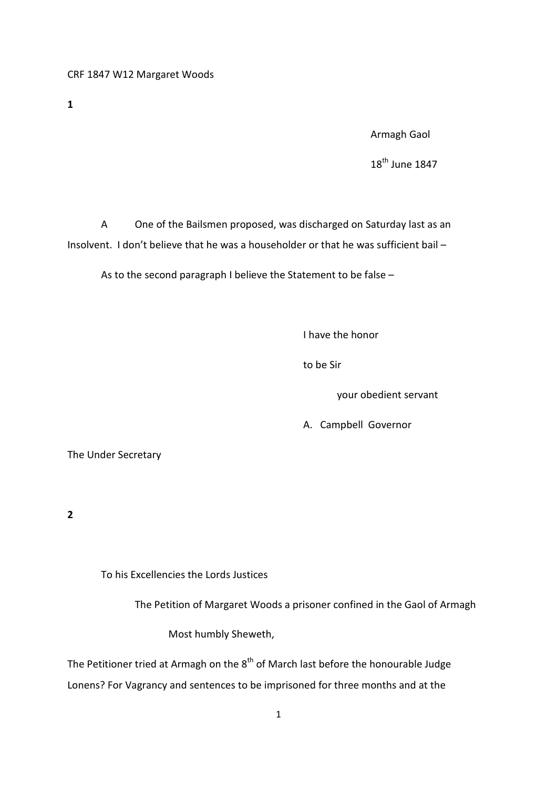1

Armagh Gaol

 $18<sup>th</sup>$  June 1847

 A One of the Bailsmen proposed, was discharged on Saturday last as an Insolvent. I don't believe that he was a householder or that he was sufficient bail –

As to the second paragraph I believe the Statement to be false –

I have the honor

to be Sir

your obedient servant

A. Campbell Governor

The Under Secretary

## 2

To his Excellencies the Lords Justices

The Petition of Margaret Woods a prisoner confined in the Gaol of Armagh

Most humbly Sheweth,

The Petitioner tried at Armagh on the  $8<sup>th</sup>$  of March last before the honourable Judge Lonens? For Vagrancy and sentences to be imprisoned for three months and at the